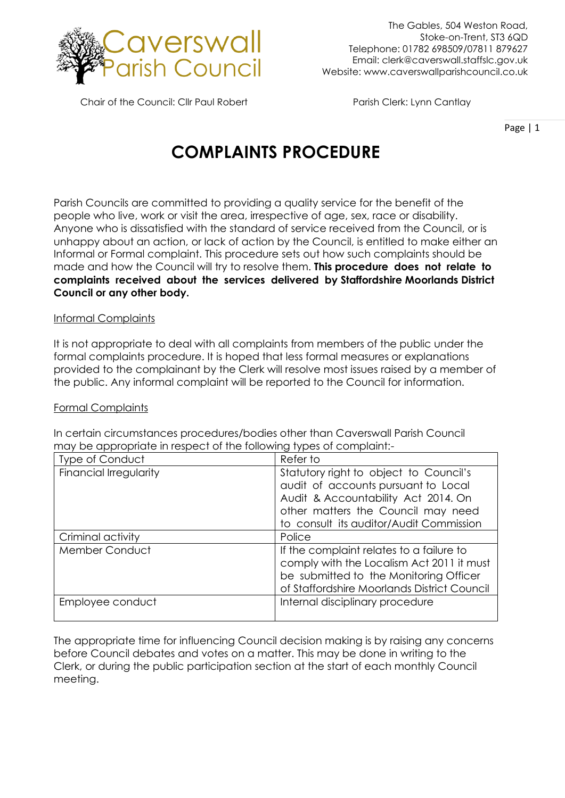

Chair of the Council: Cllr Paul Robert Parish Clerk: Lynn Cantlay

Page | 1

# **COMPLAINTS PROCEDURE**

Parish Councils are committed to providing a quality service for the benefit of the people who live, work or visit the area, irrespective of age, sex, race or disability. Anyone who is dissatisfied with the standard of service received from the Council, or is unhappy about an action, or lack of action by the Council, is entitled to make either an Informal or Formal complaint. This procedure sets out how such complaints should be made and how the Council will try to resolve them. **This procedure does not relate to complaints received about the services delivered by Staffordshire Moorlands District Council or any other body.** 

## Informal Complaints

It is not appropriate to deal with all complaints from members of the public under the formal complaints procedure. It is hoped that less formal measures or explanations provided to the complainant by the Clerk will resolve most issues raised by a member of the public. Any informal complaint will be reported to the Council for information.

#### Formal Complaints

| <u>may be appropriate in respect of the following types of complaint.</u> |                                                                                                                                                                                                       |
|---------------------------------------------------------------------------|-------------------------------------------------------------------------------------------------------------------------------------------------------------------------------------------------------|
| Type of Conduct                                                           | Refer to                                                                                                                                                                                              |
| <b>Financial Irregularity</b>                                             | Statutory right to object to Council's<br>audit of accounts pursuant to Local<br>Audit & Accountability Act 2014. On<br>other matters the Council may need<br>to consult its auditor/Audit Commission |
| Criminal activity                                                         | Police                                                                                                                                                                                                |
| Member Conduct                                                            | If the complaint relates to a failure to<br>comply with the Localism Act 2011 it must<br>be submitted to the Monitoring Officer<br>of Staffordshire Moorlands District Council                        |
| Employee conduct                                                          | Internal disciplinary procedure                                                                                                                                                                       |

In certain circumstances procedures/bodies other than Caverswall Parish Council may be appropriate in respect of the following types of complaint:-

The appropriate time for influencing Council decision making is by raising any concerns before Council debates and votes on a matter. This may be done in writing to the Clerk, or during the public participation section at the start of each monthly Council meeting.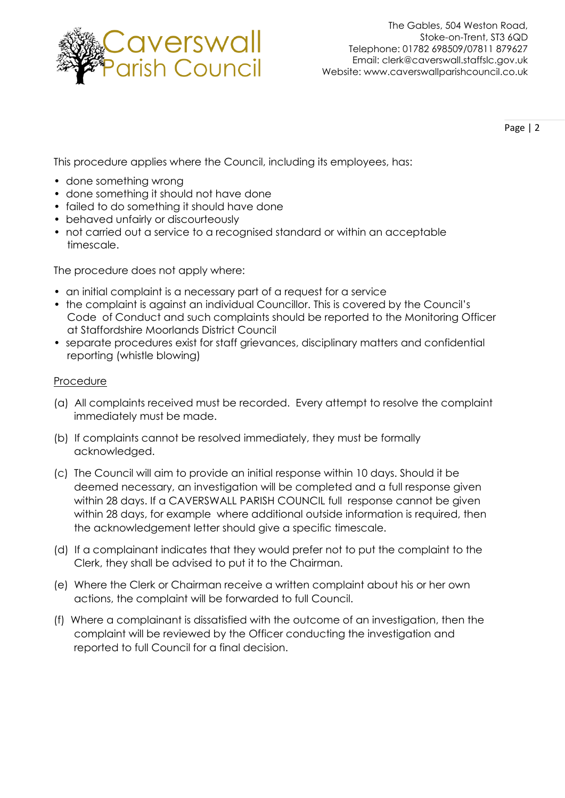

Page | 2

This procedure applies where the Council, including its employees, has:

- done something wrong
- done something it should not have done
- failed to do something it should have done
- behaved unfairly or discourteously
- not carried out a service to a recognised standard or within an acceptable timescale.

The procedure does not apply where:

- an initial complaint is a necessary part of a request for a service
- the complaint is against an individual Councillor. This is covered by the Council's Code of Conduct and such complaints should be reported to the Monitoring Officer at Staffordshire Moorlands District Council
- separate procedures exist for staff grievances, disciplinary matters and confidential reporting (whistle blowing)

## Procedure

- (a) All complaints received must be recorded. Every attempt to resolve the complaint immediately must be made.
- (b) If complaints cannot be resolved immediately, they must be formally acknowledged.
- (c) The Council will aim to provide an initial response within 10 days. Should it be deemed necessary, an investigation will be completed and a full response given within 28 days. If a CAVERSWALL PARISH COUNCIL full response cannot be given within 28 days, for example where additional outside information is required, then the acknowledgement letter should give a specific timescale.
- (d) If a complainant indicates that they would prefer not to put the complaint to the Clerk, they shall be advised to put it to the Chairman.
- (e) Where the Clerk or Chairman receive a written complaint about his or her own actions, the complaint will be forwarded to full Council.
- (f) Where a complainant is dissatisfied with the outcome of an investigation, then the complaint will be reviewed by the Officer conducting the investigation and reported to full Council for a final decision.